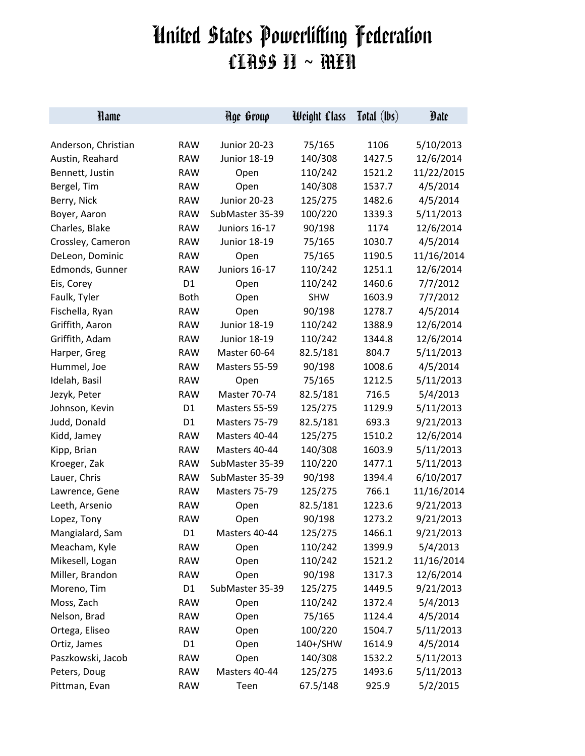## United States Powerlifting Federation CLASS II ~ MEN

| Hame                |                | Hge Group           | Weight Class | Total (lbs) | Date       |
|---------------------|----------------|---------------------|--------------|-------------|------------|
|                     |                |                     |              |             |            |
| Anderson, Christian | <b>RAW</b>     | <b>Junior 20-23</b> | 75/165       | 1106        | 5/10/2013  |
| Austin, Reahard     | <b>RAW</b>     | <b>Junior 18-19</b> | 140/308      | 1427.5      | 12/6/2014  |
| Bennett, Justin     | <b>RAW</b>     | Open                | 110/242      | 1521.2      | 11/22/2015 |
| Bergel, Tim         | <b>RAW</b>     | Open                | 140/308      | 1537.7      | 4/5/2014   |
| Berry, Nick         | <b>RAW</b>     | Junior 20-23        | 125/275      | 1482.6      | 4/5/2014   |
| Boyer, Aaron        | <b>RAW</b>     | SubMaster 35-39     | 100/220      | 1339.3      | 5/11/2013  |
| Charles, Blake      | <b>RAW</b>     | Juniors 16-17       | 90/198       | 1174        | 12/6/2014  |
| Crossley, Cameron   | <b>RAW</b>     | <b>Junior 18-19</b> | 75/165       | 1030.7      | 4/5/2014   |
| DeLeon, Dominic     | <b>RAW</b>     | Open                | 75/165       | 1190.5      | 11/16/2014 |
| Edmonds, Gunner     | <b>RAW</b>     | Juniors 16-17       | 110/242      | 1251.1      | 12/6/2014  |
| Eis, Corey          | D <sub>1</sub> | Open                | 110/242      | 1460.6      | 7/7/2012   |
| Faulk, Tyler        | <b>Both</b>    | Open                | <b>SHW</b>   | 1603.9      | 7/7/2012   |
| Fischella, Ryan     | <b>RAW</b>     | Open                | 90/198       | 1278.7      | 4/5/2014   |
| Griffith, Aaron     | <b>RAW</b>     | <b>Junior 18-19</b> | 110/242      | 1388.9      | 12/6/2014  |
| Griffith, Adam      | <b>RAW</b>     | <b>Junior 18-19</b> | 110/242      | 1344.8      | 12/6/2014  |
| Harper, Greg        | <b>RAW</b>     | Master 60-64        | 82.5/181     | 804.7       | 5/11/2013  |
| Hummel, Joe         | <b>RAW</b>     | Masters 55-59       | 90/198       | 1008.6      | 4/5/2014   |
| Idelah, Basil       | <b>RAW</b>     | Open                | 75/165       | 1212.5      | 5/11/2013  |
| Jezyk, Peter        | <b>RAW</b>     | Master 70-74        | 82.5/181     | 716.5       | 5/4/2013   |
| Johnson, Kevin      | D <sub>1</sub> | Masters 55-59       | 125/275      | 1129.9      | 5/11/2013  |
| Judd, Donald        | D <sub>1</sub> | Masters 75-79       | 82.5/181     | 693.3       | 9/21/2013  |
| Kidd, Jamey         | <b>RAW</b>     | Masters 40-44       | 125/275      | 1510.2      | 12/6/2014  |
| Kipp, Brian         | <b>RAW</b>     | Masters 40-44       | 140/308      | 1603.9      | 5/11/2013  |
| Kroeger, Zak        | <b>RAW</b>     | SubMaster 35-39     | 110/220      | 1477.1      | 5/11/2013  |
| Lauer, Chris        | <b>RAW</b>     | SubMaster 35-39     | 90/198       | 1394.4      | 6/10/2017  |
| Lawrence, Gene      | <b>RAW</b>     | Masters 75-79       | 125/275      | 766.1       | 11/16/2014 |
| Leeth, Arsenio      | <b>RAW</b>     | Open                | 82.5/181     | 1223.6      | 9/21/2013  |
| Lopez, Tony         | <b>RAW</b>     | Open                | 90/198       | 1273.2      | 9/21/2013  |
| Mangialard, Sam     | D <sub>1</sub> | Masters 40-44       | 125/275      | 1466.1      | 9/21/2013  |
| Meacham, Kyle       | <b>RAW</b>     | Open                | 110/242      | 1399.9      | 5/4/2013   |
| Mikesell, Logan     | <b>RAW</b>     | Open                | 110/242      | 1521.2      | 11/16/2014 |
| Miller, Brandon     | <b>RAW</b>     | Open                | 90/198       | 1317.3      | 12/6/2014  |
| Moreno, Tim         | D1             | SubMaster 35-39     | 125/275      | 1449.5      | 9/21/2013  |
| Moss, Zach          | <b>RAW</b>     | Open                | 110/242      | 1372.4      | 5/4/2013   |
| Nelson, Brad        | <b>RAW</b>     | Open                | 75/165       | 1124.4      | 4/5/2014   |
| Ortega, Eliseo      | <b>RAW</b>     | Open                | 100/220      | 1504.7      | 5/11/2013  |
| Ortiz, James        | D <sub>1</sub> | Open                | 140+/SHW     | 1614.9      | 4/5/2014   |
| Paszkowski, Jacob   | <b>RAW</b>     | Open                | 140/308      | 1532.2      | 5/11/2013  |
| Peters, Doug        | <b>RAW</b>     | Masters 40-44       | 125/275      | 1493.6      | 5/11/2013  |
| Pittman, Evan       | <b>RAW</b>     | Teen                | 67.5/148     | 925.9       | 5/2/2015   |